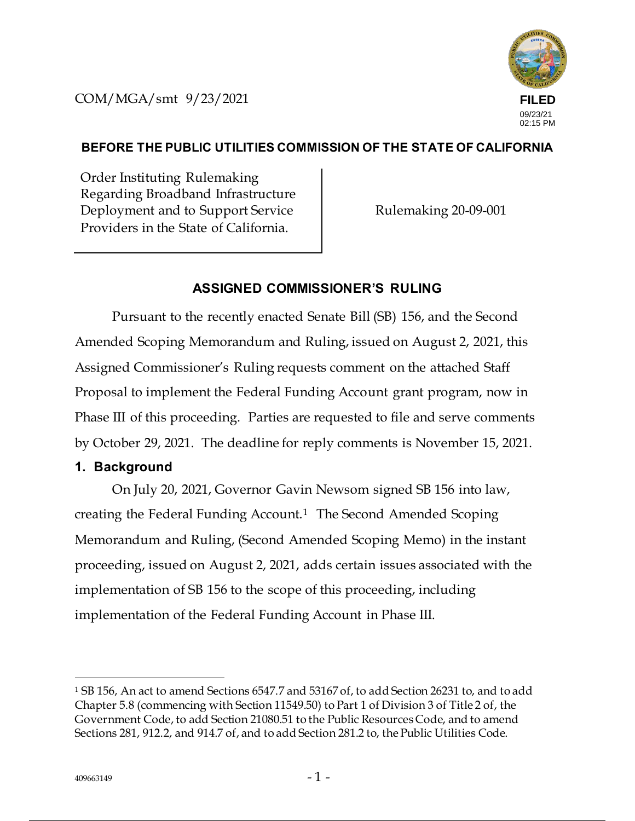COM/MGA/smt 9/23/2021



### **BEFORE THE PUBLIC UTILITIES COMMISSION OF THE STATE OF CALIFORNIA**

Order Instituting Rulemaking Regarding Broadband Infrastructure Deployment and to Support Service Providers in the State of California.

Rulemaking 20-09-001

### **ASSIGNED COMMISSIONER'S RULING**

Pursuant to the recently enacted Senate Bill (SB) 156, and the Second Amended Scoping Memorandum and Ruling, issued on August 2, 2021, this Assigned Commissioner's Ruling requests comment on the attached Staff Proposal to implement the Federal Funding Account grant program, now in Phase III of this proceeding. Parties are requested to file and serve comments by October 29, 2021. The deadline for reply comments is November 15, 2021.

### **1. Background**

On July 20, 2021, Governor Gavin Newsom signed SB 156 into law, creating the Federal Funding Account.<sup>1</sup> The Second Amended Scoping Memorandum and Ruling, (Second Amended Scoping Memo) in the instant proceeding, issued on August 2, 2021, adds certain issues associated with the implementation of SB 156 to the scope of this proceeding, including implementation of the Federal Funding Account in Phase III.

<sup>1</sup> SB 156, An act to amend Sections 6547.7 and 53167 of, to add Section 26231 to, and to add Chapter 5.8 (commencing with Section 11549.50) to Part 1 of Division 3 of Title 2 of, the Government Code, to add Section 21080.51 to the Public Resources Code, and to amend Sections 281, 912.2, and 914.7 of, and to add Section 281.2 to, the Public Utilities Code.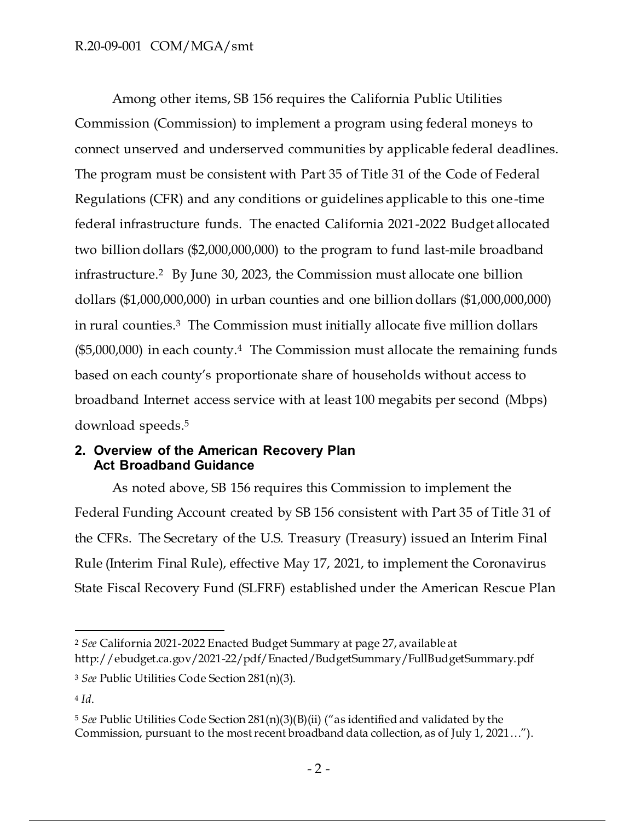### R.20-09-001 COM/MGA/smt

Among other items, SB 156 requires the California Public Utilities Commission (Commission) to implement a program using federal moneys to connect unserved and underserved communities by applicable federal deadlines. The program must be consistent with Part 35 of Title 31 of the Code of Federal Regulations (CFR) and any conditions or guidelines applicable to this one-time federal infrastructure funds. The enacted California 2021-2022 Budget allocated two billion dollars (\$2,000,000,000) to the program to fund last-mile broadband infrastructure.<sup>2</sup> By June 30, 2023, the Commission must allocate one billion dollars (\$1,000,000,000) in urban counties and one billion dollars (\$1,000,000,000) in rural counties.<sup>3</sup> The Commission must initially allocate five million dollars  $($5,000,000)$  in each county.<sup>4</sup> The Commission must allocate the remaining funds based on each county's proportionate share of households without access to broadband Internet access service with at least 100 megabits per second (Mbps) download speeds.<sup>5</sup>

#### **2. Overview of the American Recovery Plan Act Broadband Guidance**

As noted above, SB 156 requires this Commission to implement the Federal Funding Account created by SB 156 consistent with Part 35 of Title 31 of the CFRs. The Secretary of the U.S. Treasury (Treasury) issued an Interim Final Rule (Interim Final Rule), effective May 17, 2021, to implement the Coronavirus State Fiscal Recovery Fund (SLFRF) established under the American Rescue Plan

<sup>2</sup> *See* California 2021-2022 Enacted Budget Summary at page 27, available at http://ebudget.ca.gov/2021-22/pdf/Enacted/BudgetSummary/FullBudgetSummary.pdf

<sup>3</sup> *See* Public Utilities Code Section 281(n)(3).

<sup>4</sup> *Id*.

<sup>5</sup> *See* Public Utilities Code Section 281(n)(3)(B)(ii) ("as identified and validated by the Commission, pursuant to the most recent broadband data collection, as of July 1, 2021…").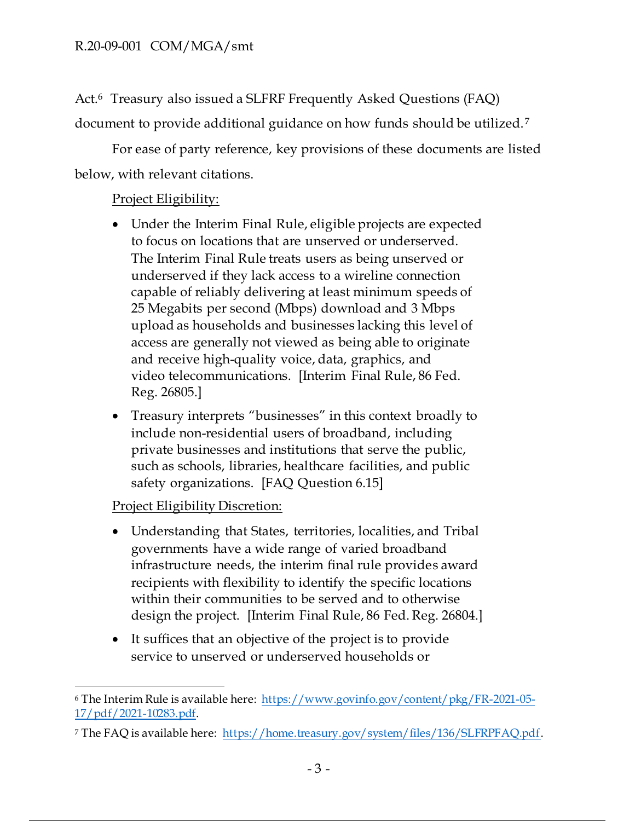Act.<sup>6</sup> Treasury also issued a SLFRF Frequently Asked Questions (FAQ) document to provide additional guidance on how funds should be utilized.<sup>7</sup>

For ease of party reference, key provisions of these documents are listed below, with relevant citations.

## Project Eligibility:

- Under the Interim Final Rule, eligible projects are expected to focus on locations that are unserved or underserved. The Interim Final Rule treats users as being unserved or underserved if they lack access to a wireline connection capable of reliably delivering at least minimum speeds of 25 Megabits per second (Mbps) download and 3 Mbps upload as households and businesses lacking this level of access are generally not viewed as being able to originate and receive high-quality voice, data, graphics, and video telecommunications. [Interim Final Rule, 86 Fed. Reg. 26805.]
- Treasury interprets "businesses" in this context broadly to include non-residential users of broadband, including private businesses and institutions that serve the public, such as schools, libraries, healthcare facilities, and public safety organizations. [FAQ Question 6.15]

## **Project Eligibility Discretion:**

- Understanding that States, territories, localities, and Tribal governments have a wide range of varied broadband infrastructure needs, the interim final rule provides award recipients with flexibility to identify the specific locations within their communities to be served and to otherwise design the project. [Interim Final Rule, 86 Fed. Reg. 26804.]
- It suffices that an objective of the project is to provide service to unserved or underserved households or

<sup>6</sup> The Interim Rule is available here: https://www.govinfo.gov/content/pkg/FR-2021-05- 17/pdf/2021-10283.pdf.

<sup>&</sup>lt;sup>7</sup> The FAQ is available here: https://home.treasury.gov/system/files/136/SLFRPFAQ.pdf.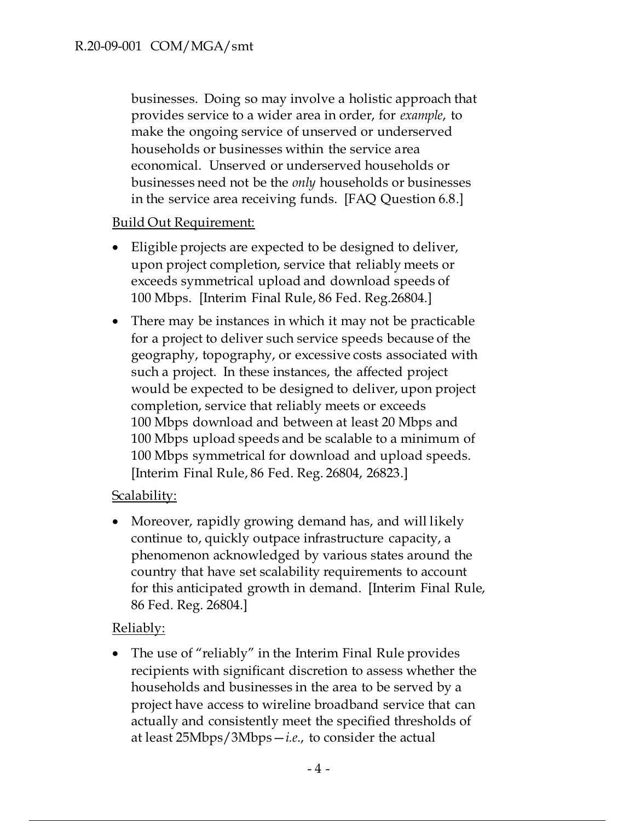businesses. Doing so may involve a holistic approach that provides service to a wider area in order, for *example*, to make the ongoing service of unserved or underserved households or businesses within the service area economical. Unserved or underserved households or businesses need not be the *only* households or businesses in the service area receiving funds. [FAQ Question 6.8.]

## Build Out Requirement:

- Eligible projects are expected to be designed to deliver, upon project completion, service that reliably meets or exceeds symmetrical upload and download speeds of 100 Mbps. [Interim Final Rule, 86 Fed. Reg.26804.]
- There may be instances in which it may not be practicable for a project to deliver such service speeds because of the geography, topography, or excessive costs associated with such a project. In these instances, the affected project would be expected to be designed to deliver, upon project completion, service that reliably meets or exceeds 100 Mbps download and between at least 20 Mbps and 100 Mbps upload speeds and be scalable to a minimum of 100 Mbps symmetrical for download and upload speeds. [Interim Final Rule, 86 Fed. Reg. 26804, 26823.]

## Scalability:

• Moreover, rapidly growing demand has, and will likely continue to, quickly outpace infrastructure capacity, a phenomenon acknowledged by various states around the country that have set scalability requirements to account for this anticipated growth in demand. [Interim Final Rule, 86 Fed. Reg. 26804.]

### Reliably:

• The use of "reliably" in the Interim Final Rule provides recipients with significant discretion to assess whether the households and businesses in the area to be served by a project have access to wireline broadband service that can actually and consistently meet the specified thresholds of at least 25Mbps/3Mbps—*i.e*., to consider the actual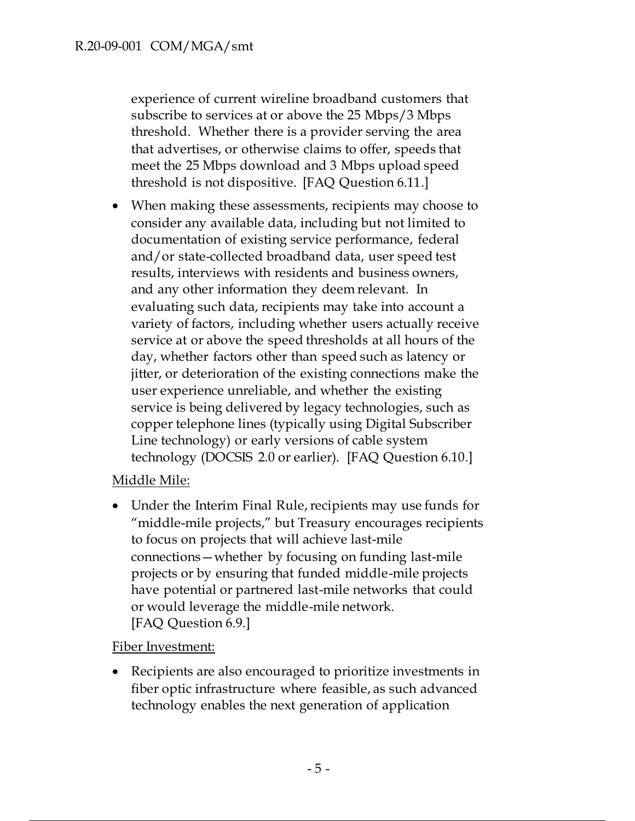experience of current wireline broadband customers that subscribe to services at or above the 25 Mbps/3 Mbps threshold. Whether there is a provider serving the area that advertises, or otherwise claims to offer, speeds that meet the 25 Mbps download and 3 Mbps upload speed threshold is not dispositive. [FAQ Question 6.11.]

• When making these assessments, recipients may choose to consider any available data, including but not limited to documentation of existing service performance, federal and/or state-collected broadband data, user speed test results, interviews with residents and business owners, and any other information they deem relevant. In evaluating such data, recipients may take into account a variety of factors, including whether users actually receive service at or above the speed thresholds at all hours of the day, whether factors other than speed such as latency or jitter, or deterioration of the existing connections make the user experience unreliable, and whether the existing service is being delivered by legacy technologies, such as copper telephone lines (typically using Digital Subscriber Line technology) or early versions of cable system technology (DOCSIS 2.0 or earlier). [FAQ Question 6.10.]

# Middle Mile:

• Under the Interim Final Rule, recipients may use funds for "middle-mile projects," but Treasury encourages recipients to focus on projects that will achieve last-mile connections—whether by focusing on funding last-mile projects or by ensuring that funded middle-mile projects have potential or partnered last-mile networks that could or would leverage the middle-mile network. [FAQ Question 6.9.]

## Fiber Investment:

• Recipients are also encouraged to prioritize investments in fiber optic infrastructure where feasible, as such advanced technology enables the next generation of application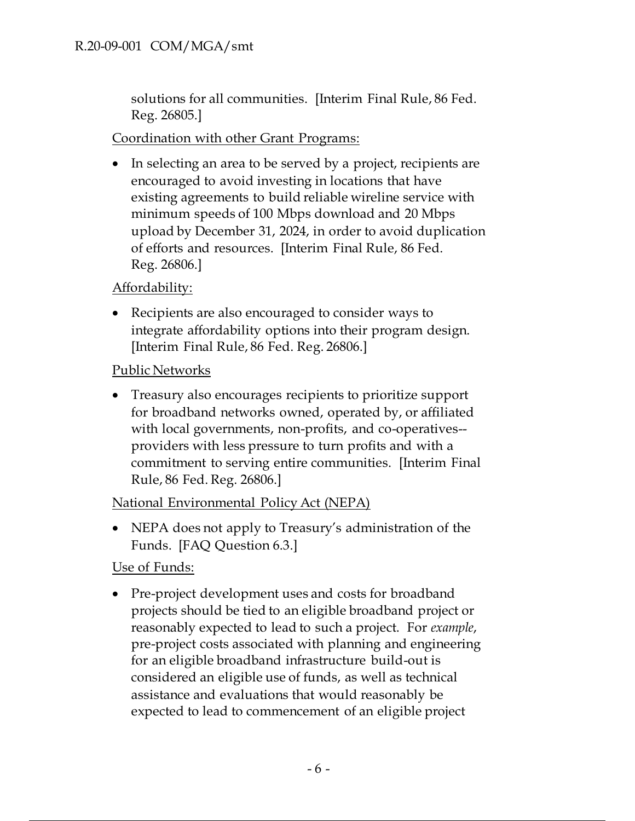solutions for all communities. [Interim Final Rule, 86 Fed. Reg. 26805.]

## Coordination with other Grant Programs:

• In selecting an area to be served by a project, recipients are encouraged to avoid investing in locations that have existing agreements to build reliable wireline service with minimum speeds of 100 Mbps download and 20 Mbps upload by December 31, 2024, in order to avoid duplication of efforts and resources. [Interim Final Rule, 86 Fed. Reg. 26806.]

## Affordability:

• Recipients are also encouraged to consider ways to integrate affordability options into their program design. [Interim Final Rule, 86 Fed. Reg. 26806.]

## Public Networks

• Treasury also encourages recipients to prioritize support for broadband networks owned, operated by, or affiliated with local governments, non-profits, and co-operatives- providers with less pressure to turn profits and with a commitment to serving entire communities. [Interim Final Rule, 86 Fed. Reg. 26806.]

## National Environmental Policy Act (NEPA)

• NEPA does not apply to Treasury's administration of the Funds. [FAQ Question 6.3.]

## Use of Funds:

• Pre-project development uses and costs for broadband projects should be tied to an eligible broadband project or reasonably expected to lead to such a project. For *example*, pre-project costs associated with planning and engineering for an eligible broadband infrastructure build-out is considered an eligible use of funds, as well as technical assistance and evaluations that would reasonably be expected to lead to commencement of an eligible project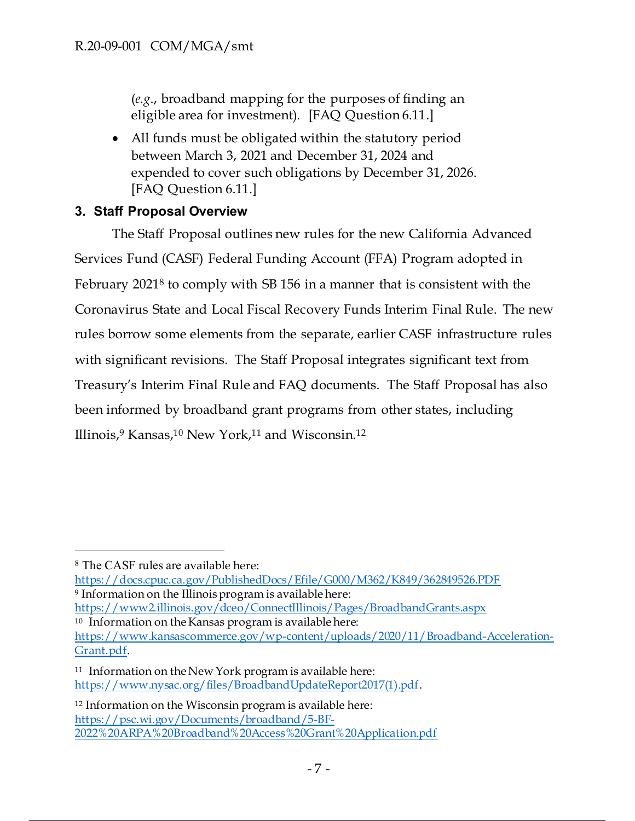(*e.g*., broadband mapping for the purposes of finding an eligible area for investment). [FAQ Question 6.11.]

• All funds must be obligated within the statutory period between March 3, 2021 and December 31, 2024 and expended to cover such obligations by December 31, 2026. [FAQ Question 6.11.]

## **3. Staff Proposal Overview**

The Staff Proposal outlines new rules for the new California Advanced Services Fund (CASF) Federal Funding Account (FFA) Program adopted in February 2021<sup>8</sup> to comply with SB 156 in a manner that is consistent with the Coronavirus State and Local Fiscal Recovery Funds Interim Final Rule. The new rules borrow some elements from the separate, earlier CASF infrastructure rules with significant revisions. The Staff Proposal integrates significant text from Treasury's Interim Final Rule and FAQ documents. The Staff Proposal has also been informed by broadband grant programs from other states, including Illinois,<sup>9</sup> Kansas,<sup>10</sup> New York,<sup>11</sup> and Wisconsin.<sup>12</sup>

https://docs.cpuc.ca.gov/PublishedDocs/Efile/G000/M362/K849/362849526.PDF <sup>9</sup> Information on the Illinois program is available here:

https://www2.illinois.gov/dceo/ConnectIllinois/Pages/BroadbandGrants.aspx

<sup>10</sup> Information on the Kansas program is available here: https://www.kansascommerce.gov/wp-content/uploads/2020/11/Broadband-Acceleration-Grant.pdf.

<sup>8</sup> The CASF rules are available here:

<sup>11</sup> Information on the New York program is available here: https://www.nysac.org/files/BroadbandUpdateReport2017(1).pdf.

<sup>12</sup> Information on the Wisconsin program is available here: https://psc.wi.gov/Documents/broadband/5-BF-2022%20ARPA%20Broadband%20Access%20Grant%20Application.pdf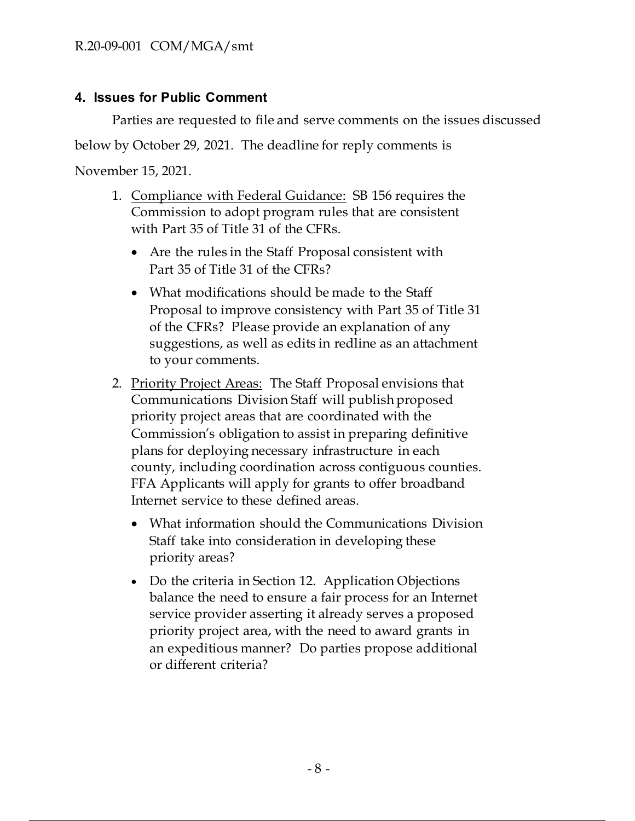## **4. Issues for Public Comment**

Parties are requested to file and serve comments on the issues discussed

below by October 29, 2021. The deadline for reply comments is

November 15, 2021.

- 1. Compliance with Federal Guidance: SB 156 requires the Commission to adopt program rules that are consistent with Part 35 of Title 31 of the CFRs.
	- Are the rules in the Staff Proposal consistent with Part 35 of Title 31 of the CFRs?
	- What modifications should be made to the Staff Proposal to improve consistency with Part 35 of Title 31 of the CFRs? Please provide an explanation of any suggestions, as well as edits in redline as an attachment to your comments.
- 2. Priority Project Areas: The Staff Proposal envisions that Communications Division Staff will publish proposed priority project areas that are coordinated with the Commission's obligation to assist in preparing definitive plans for deploying necessary infrastructure in each county, including coordination across contiguous counties. FFA Applicants will apply for grants to offer broadband Internet service to these defined areas.
	- What information should the Communications Division Staff take into consideration in developing these priority areas?
	- Do the criteria in Section 12. Application Objections balance the need to ensure a fair process for an Internet service provider asserting it already serves a proposed priority project area, with the need to award grants in an expeditious manner? Do parties propose additional or different criteria?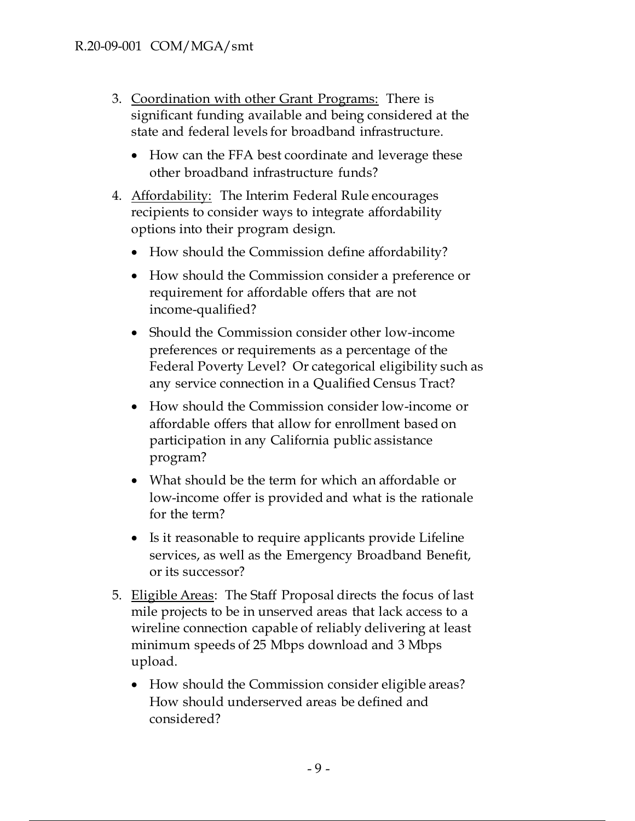- 3. Coordination with other Grant Programs: There is significant funding available and being considered at the state and federal levels for broadband infrastructure.
	- How can the FFA best coordinate and leverage these other broadband infrastructure funds?
- 4. Affordability: The Interim Federal Rule encourages recipients to consider ways to integrate affordability options into their program design.
	- How should the Commission define affordability?
	- How should the Commission consider a preference or requirement for affordable offers that are not income-qualified?
	- Should the Commission consider other low-income preferences or requirements as a percentage of the Federal Poverty Level? Or categorical eligibility such as any service connection in a Qualified Census Tract?
	- How should the Commission consider low-income or affordable offers that allow for enrollment based on participation in any California public assistance program?
	- What should be the term for which an affordable or low-income offer is provided and what is the rationale for the term?
	- Is it reasonable to require applicants provide Lifeline services, as well as the Emergency Broadband Benefit, or its successor?
- 5. Eligible Areas: The Staff Proposal directs the focus of last mile projects to be in unserved areas that lack access to a wireline connection capable of reliably delivering at least minimum speeds of 25 Mbps download and 3 Mbps upload.
	- How should the Commission consider eligible areas? How should underserved areas be defined and considered?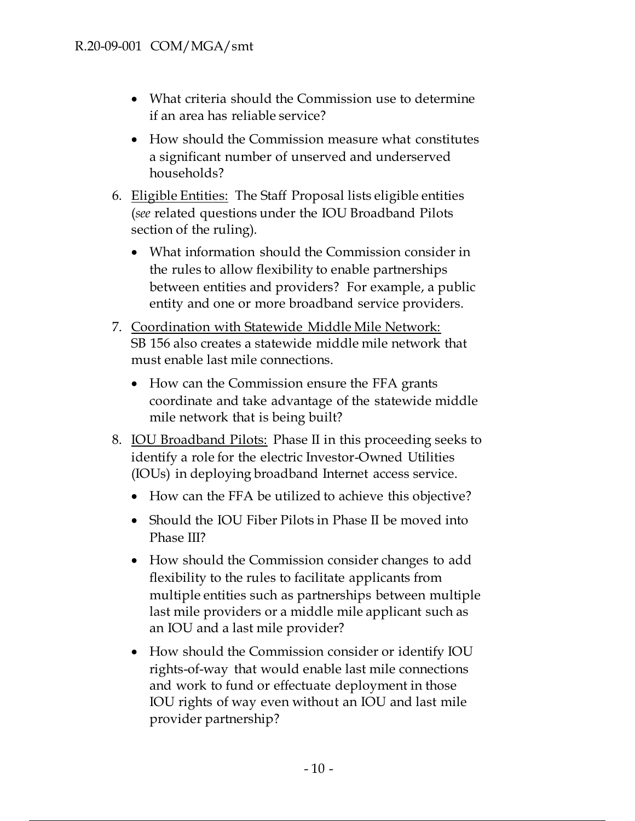- What criteria should the Commission use to determine if an area has reliable service?
- How should the Commission measure what constitutes a significant number of unserved and underserved households?
- 6. Eligible Entities: The Staff Proposal lists eligible entities (*see* related questions under the IOU Broadband Pilots section of the ruling).
	- What information should the Commission consider in the rules to allow flexibility to enable partnerships between entities and providers? For example, a public entity and one or more broadband service providers.
- 7. Coordination with Statewide Middle Mile Network: SB 156 also creates a statewide middle mile network that must enable last mile connections.
	- How can the Commission ensure the FFA grants coordinate and take advantage of the statewide middle mile network that is being built?
- 8. IOU Broadband Pilots: Phase II in this proceeding seeks to identify a role for the electric Investor-Owned Utilities (IOUs) in deploying broadband Internet access service.
	- How can the FFA be utilized to achieve this objective?
	- Should the IOU Fiber Pilots in Phase II be moved into Phase III?
	- How should the Commission consider changes to add flexibility to the rules to facilitate applicants from multiple entities such as partnerships between multiple last mile providers or a middle mile applicant such as an IOU and a last mile provider?
	- How should the Commission consider or identify IOU rights-of-way that would enable last mile connections and work to fund or effectuate deployment in those IOU rights of way even without an IOU and last mile provider partnership?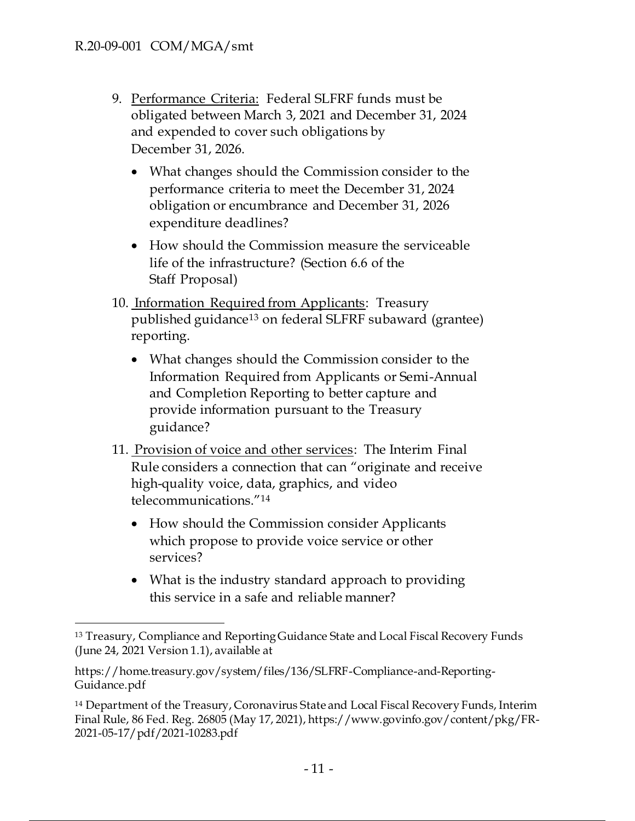- 9. Performance Criteria: Federal SLFRF funds must be obligated between March 3, 2021 and December 31, 2024 and expended to cover such obligations by December 31, 2026.
	- What changes should the Commission consider to the performance criteria to meet the December 31, 2024 obligation or encumbrance and December 31, 2026 expenditure deadlines?
	- How should the Commission measure the serviceable life of the infrastructure? (Section 6.6 of the Staff Proposal)
- 10. Information Required from Applicants: Treasury published guidance<sup>13</sup> on federal SLFRF subaward (grantee) reporting.
	- What changes should the Commission consider to the Information Required from Applicants or Semi-Annual and Completion Reporting to better capture and provide information pursuant to the Treasury guidance?
- 11. Provision of voice and other services: The Interim Final Rule considers a connection that can "originate and receive high-quality voice, data, graphics, and video telecommunications."<sup>14</sup>
	- How should the Commission consider Applicants which propose to provide voice service or other services?
	- What is the industry standard approach to providing this service in a safe and reliable manner?

<sup>13</sup> Treasury, Compliance and Reporting Guidance State and Local Fiscal Recovery Funds (June 24, 2021 Version 1.1), available at

https://home.treasury.gov/system/files/136/SLFRF-Compliance-and-Reporting-Guidance.pdf

<sup>14</sup> Department of the Treasury, Coronavirus State and Local Fiscal Recovery Funds, Interim Final Rule, 86 Fed. Reg. 26805 (May 17, 2021), https://www.govinfo.gov/content/pkg/FR-2021-05-17/pdf/2021-10283.pdf